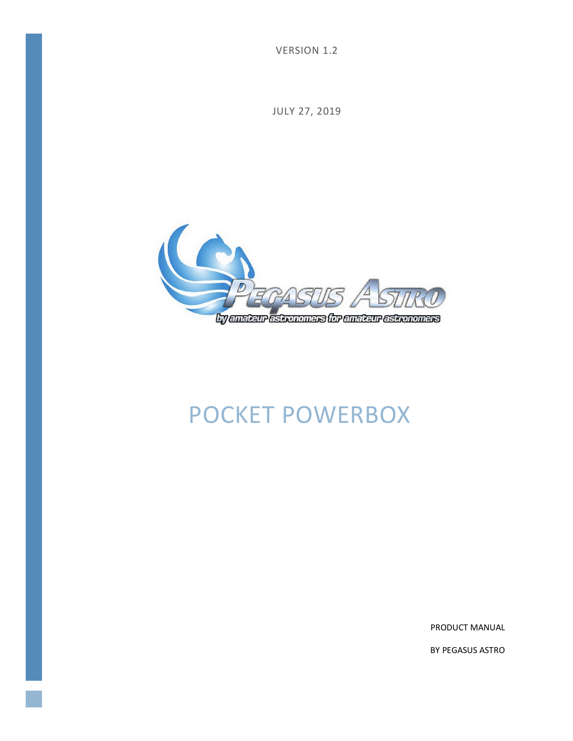VERSION 1.2

JULY 27, 2019



# POCKET POWERBOX

PRODUCT MANUAL

BY PEGASUS ASTRO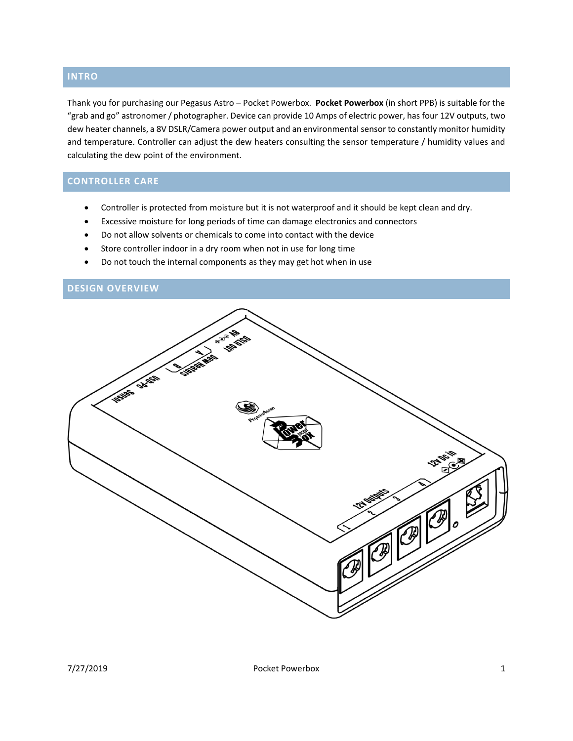## **INTRO**

Thank you for purchasing our Pegasus Astro – Pocket Powerbox. **Pocket Powerbox** (in short PPB) is suitable for the "grab and go" astronomer / photographer. Device can provide 10 Amps of electric power, has four 12V outputs, two dew heater channels, a 8V DSLR/Camera power output and an environmental sensor to constantly monitor humidity and temperature. Controller can adjust the dew heaters consulting the sensor temperature / humidity values and calculating the dew point of the environment.

## **CONTROLLER CARE**

- Controller is protected from moisture but it is not waterproof and it should be kept clean and dry.
- Excessive moisture for long periods of time can damage electronics and connectors
- Do not allow solvents or chemicals to come into contact with the device
- Store controller indoor in a dry room when not in use for long time
- Do not touch the internal components as they may get hot when in use

## **DESIGN OVERVIEW**

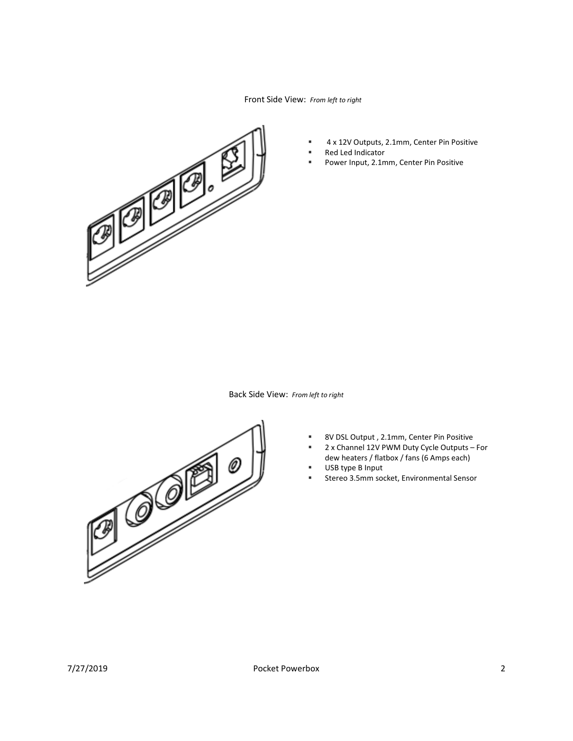Front Side View: *From left to right*



- 4 x 12V Outputs, 2.1mm, Center Pin Positive
- Red Led Indicator
- Power Input, 2.1mm, Center Pin Positive

Back Side View: *From left to right*



- 8V DSL Output, 2.1mm, Center Pin Positive
- 2 x Channel 12V PWM Duty Cycle Outputs For dew heaters / flatbox / fans (6 Amps each)
- USB type B Input
- Stereo 3.5mm socket, Environmental Sensor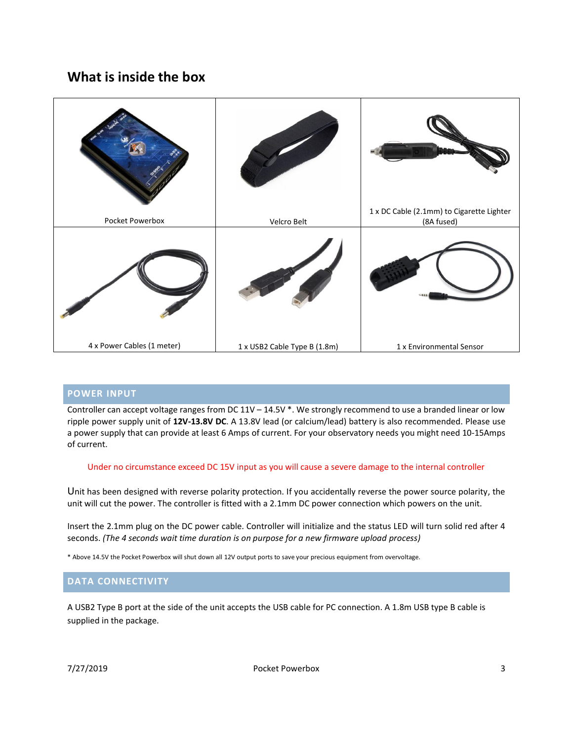## **What is inside the box**



#### **POWER INPUT**

Controller can accept voltage ranges from DC 11V – 14.5V \*. We strongly recommend to use a branded linear or low ripple power supply unit of **12V-13.8V DC**. A 13.8V lead (or calcium/lead) battery is also recommended. Please use a power supply that can provide at least 6 Amps of current. For your observatory needs you might need 10-15Amps of current.

#### Under no circumstance exceed DC 15V input as you will cause a severe damage to the internal controller

Unit has been designed with reverse polarity protection. If you accidentally reverse the power source polarity, the unit will cut the power. The controller is fitted with a 2.1mm DC power connection which powers on the unit.

Insert the 2.1mm plug on the DC power cable. Controller will initialize and the status LED will turn solid red after 4 seconds. *(The 4 seconds wait time duration is on purpose for a new firmware upload process)*

\* Above 14.5V the Pocket Powerbox will shut down all 12V output ports to save your precious equipment from overvoltage.

#### **DATA CONNECTIVITY**

A USB2 Type B port at the side of the unit accepts the USB cable for PC connection. A 1.8m USB type B cable is supplied in the package.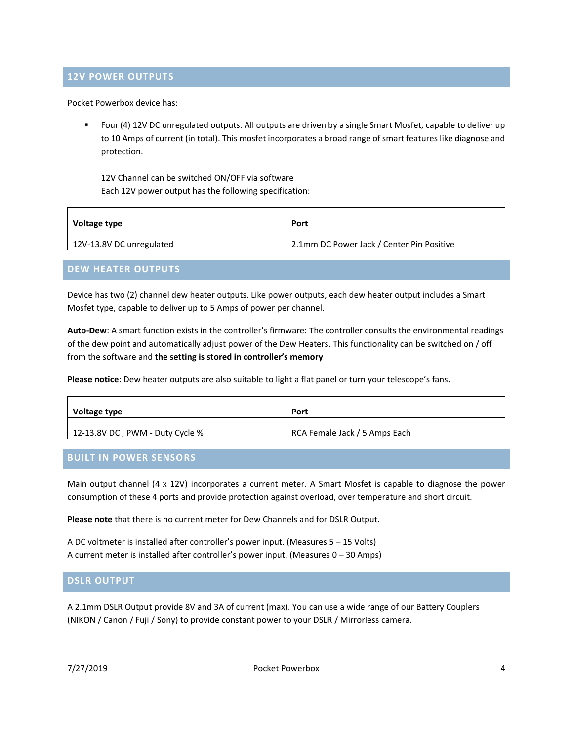#### **12V POWER OUTPUTS**

Pocket Powerbox device has:

■ Four (4) 12V DC unregulated outputs. All outputs are driven by a single Smart Mosfet, capable to deliver up to 10 Amps of current (in total). This mosfet incorporates a broad range of smart features like diagnose and protection.

12V Channel can be switched ON/OFF via software Each 12V power output has the following specification:

| Voltage type             | Port                                      |
|--------------------------|-------------------------------------------|
| 12V-13.8V DC unregulated | 2.1mm DC Power Jack / Center Pin Positive |

#### **DEW HEATER OUTPUTS**

Device has two (2) channel dew heater outputs. Like power outputs, each dew heater output includes a Smart Mosfet type, capable to deliver up to 5 Amps of power per channel.

**Auto-Dew**: A smart function exists in the controller's firmware: The controller consults the environmental readings of the dew point and automatically adjust power of the Dew Heaters. This functionality can be switched on / off from the software and **the setting is stored in controller's memory**

**Please notice**: Dew heater outputs are also suitable to light a flat panel or turn your telescope's fans.

| Voltage type                    | Port                          |
|---------------------------------|-------------------------------|
| 12-13.8V DC, PWM - Duty Cycle % | RCA Female Jack / 5 Amps Each |

#### **BUILT IN POWER SENSORS**

Main output channel (4 x 12V) incorporates a current meter. A Smart Mosfet is capable to diagnose the power consumption of these 4 ports and provide protection against overload, over temperature and short circuit.

**Please note** that there is no current meter for Dew Channels and for DSLR Output.

A DC voltmeter is installed after controller's power input. (Measures 5 – 15 Volts) A current meter is installed after controller's power input. (Measures 0 – 30 Amps)

#### **DSLR OUTPUT**

A 2.1mm DSLR Output provide 8V and 3A of current (max). You can use a wide range of our Battery Couplers (NIKON / Canon / Fuji / Sony) to provide constant power to your DSLR / Mirrorless camera.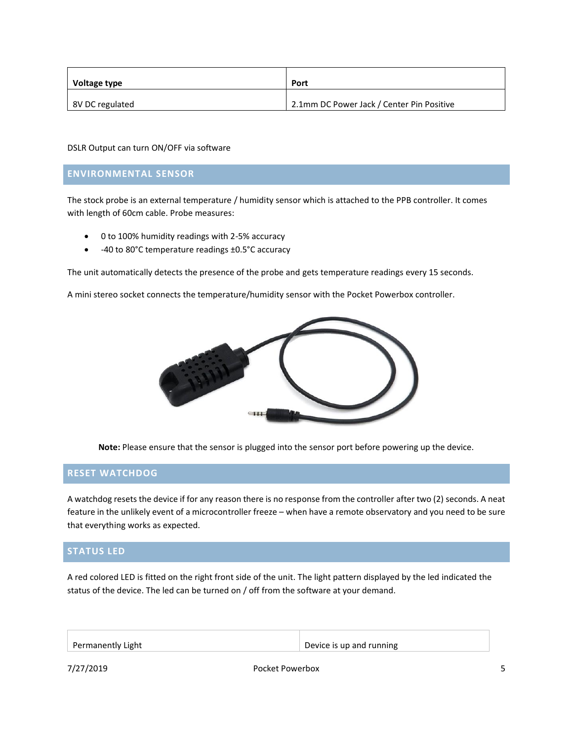| Voltage type    | Port                                      |
|-----------------|-------------------------------------------|
| 8V DC regulated | 2.1mm DC Power Jack / Center Pin Positive |

DSLR Output can turn ON/OFF via software

#### **ENVIRONMENTAL SENSOR**

The stock probe is an external temperature / humidity sensor which is attached to the PPB controller. It comes with length of 60cm cable. Probe measures:

- 0 to 100% humidity readings with 2-5% accuracy
- -40 to 80°C temperature readings ±0.5°C accuracy

The unit automatically detects the presence of the probe and gets temperature readings every 15 seconds.

A mini stereo socket connects the temperature/humidity sensor with the Pocket Powerbox controller.



**Note:** Please ensure that the sensor is plugged into the sensor port before powering up the device.

#### **RESET WATCHDOG**

A watchdog resets the device if for any reason there is no response from the controller after two (2) seconds. A neat feature in the unlikely event of a microcontroller freeze – when have a remote observatory and you need to be sure that everything works as expected.

#### **STATUS LED**

A red colored LED is fitted on the right front side of the unit. The light pattern displayed by the led indicated the status of the device. The led can be turned on / off from the software at your demand.

| Permanently Light | Device is up and running |
|-------------------|--------------------------|
|-------------------|--------------------------|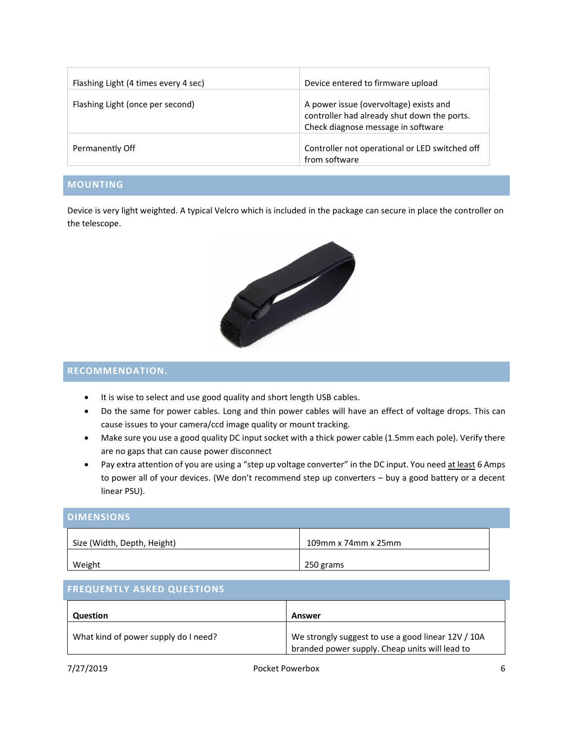| Flashing Light (4 times every 4 sec) | Device entered to firmware upload                                                                                           |
|--------------------------------------|-----------------------------------------------------------------------------------------------------------------------------|
| Flashing Light (once per second)     | A power issue (overvoltage) exists and<br>controller had already shut down the ports.<br>Check diagnose message in software |
| Permanently Off                      | Controller not operational or LED switched off<br>from software                                                             |

## **MOUNTING**

Device is very light weighted. A typical Velcro which is included in the package can secure in place the controller on the telescope.



#### **RECOMMENDATION.**

- It is wise to select and use good quality and short length USB cables.
- Do the same for power cables. Long and thin power cables will have an effect of voltage drops. This can cause issues to your camera/ccd image quality or mount tracking.
- Make sure you use a good quality DC input socket with a thick power cable (1.5mm each pole). Verify there are no gaps that can cause power disconnect
- Pay extra attention of you are using a "step up voltage converter" in the DC input. You need at least 6 Amps to power all of your devices. (We don't recommend step up converters – buy a good battery or a decent linear PSU).

#### **DIMENSIONS**

| Size (Width, Depth, Height) | $109$ mm x 74mm x 25mm |
|-----------------------------|------------------------|
| Weight                      | 250 grams              |

## **FREQUENTLY ASKED QUESTIONS**

| <b>Question</b>                      | Answer                                                                                               |
|--------------------------------------|------------------------------------------------------------------------------------------------------|
| What kind of power supply do I need? | We strongly suggest to use a good linear 12V / 10A<br>branded power supply. Cheap units will lead to |